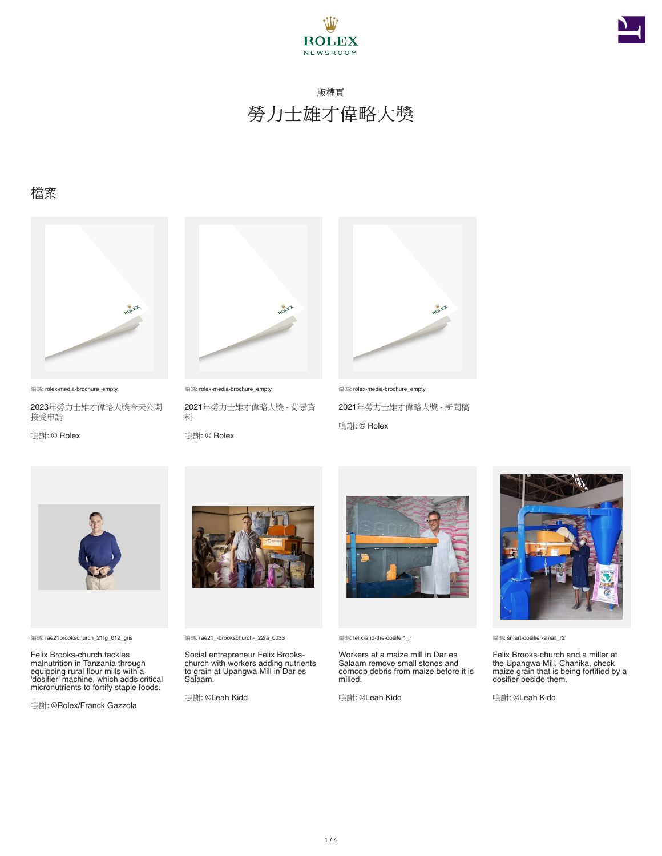



#### 檔案



編碼: rolex-media-brochure\_empty

2023年勞力士雄才偉略大獎今天公開 接受申請

鳴謝: © Rolex



編碼: rolex-media-brochure\_empty 2021年勞力士雄才偉略大獎 - 背景資 料

鳴謝: © Rolex



編碼: rolex-media-brochure\_empty 2021年勞力士雄才偉略大獎 - 新聞稿 鳴謝: © Rolex



編碼: rae21brookschurch\_21fg\_012\_gris

Felix Brooks-church tackles malnutrition in Tanzania through equipping rural flour mills with a 'dosifier' machine, which adds critical micronutrients to fortify staple foods.

鳴謝: ©Rolex/Franck Gazzola



編碼: rae21\_-brookschurch-\_22ra\_0033

Social entrepreneur Felix Brooks-church with workers adding nutrients to grain at Upangwa Mill in Dar es Salaam.

鳴謝: ©Leah Kidd



編碼: felix-and-the-dosifer1\_r

Workers at a maize mill in Dar es Salaam remove small stones and corncob debris from maize before it is milled.

鳴謝: ©Leah Kidd



編碼: smart-dosifier-small\_r2

Felix Brooks-church and a miller at the Upangwa Mill, Chanika, check maize grain that is being fortified by a dosifier beside them.

鳴謝: ©Leah Kidd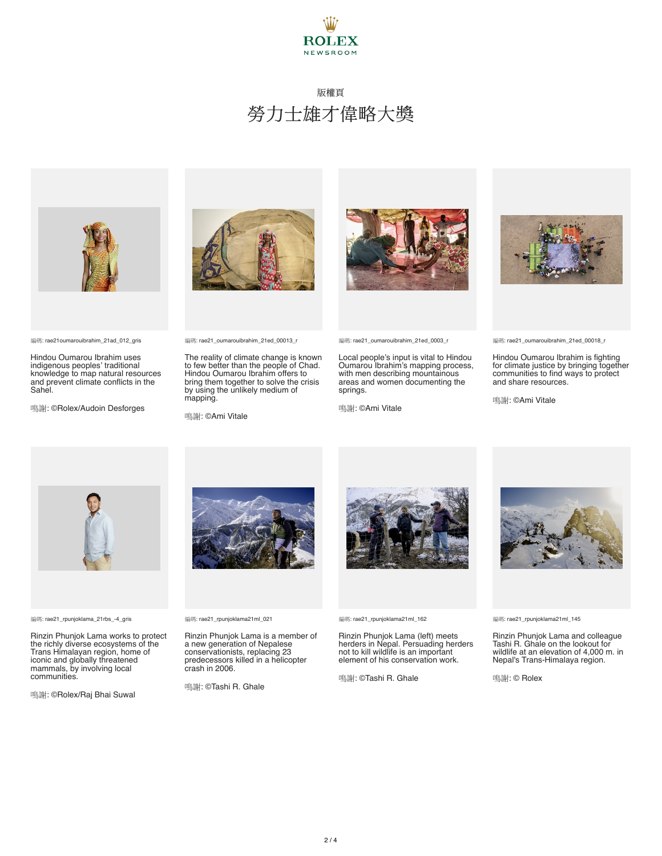



編碼: rae21oumarouibrahim\_21ad\_012\_gris

Hindou Oumarou Ibrahim uses indigenous peoples' traditional knowledge to map natural resources and prevent climate conflicts in the Sahel.

鳴謝: ©Rolex/Audoin Desforges



編碼: rae21\_oumarouibrahim\_21ed\_00013\_r

The reality of climate change is known to few better than the people of Chad. Hindou Oumarou Ibrahim offers to bring them together to solve the crisis by using the unlikely medium of mapping.

鳴謝: ©Ami Vitale



編碼: rae21\_oumarouibrahim\_21ed\_0003\_r

Local people's input is vital to Hindou Oumarou Ibrahim's mapping process, with men describing mountainous areas and women documenting the springs.

鳴謝: ©Ami Vitale



編碼: rae21\_oumarouibrahim\_21ed\_00018\_r

Hindou Oumarou Ibrahim is fighting for climate justice by bringing together communities to find ways to protect and share resources.

鳴謝: ©Ami Vitale



編碼: rae21\_rpunjoklama\_21rbs\_-4\_gris

Rinzin Phunjok Lama works to protect the richly diverse ecosystems of the Trans Himalayan region, home of iconic and globally threatened mammals, by involving local communities.

鳴謝: ©Rolex/Raj Bhai Suwal



Rinzin Phunjok Lama is a member of a new generation of Nepalese conservationists, replacing 23 predecessors killed in a helicopter crash in 2006.

鳴謝: ©Tashi R. Ghale



編碼: rae21\_rpunjoklama21ml\_162

Rinzin Phunjok Lama (left) meets herders in Nepal. Persuading herders not to kill wildlife is an important element of his conservation work.

鳴謝: ©Tashi R. Ghale



編碼: rae21\_rpunjoklama21ml\_145

Rinzin Phunjok Lama and colleague Tashi R. Ghale on the lookout for wildlife at an elevation of 4,000 m. in Nepal's Trans-Himalaya region.

鳴謝: © Rolex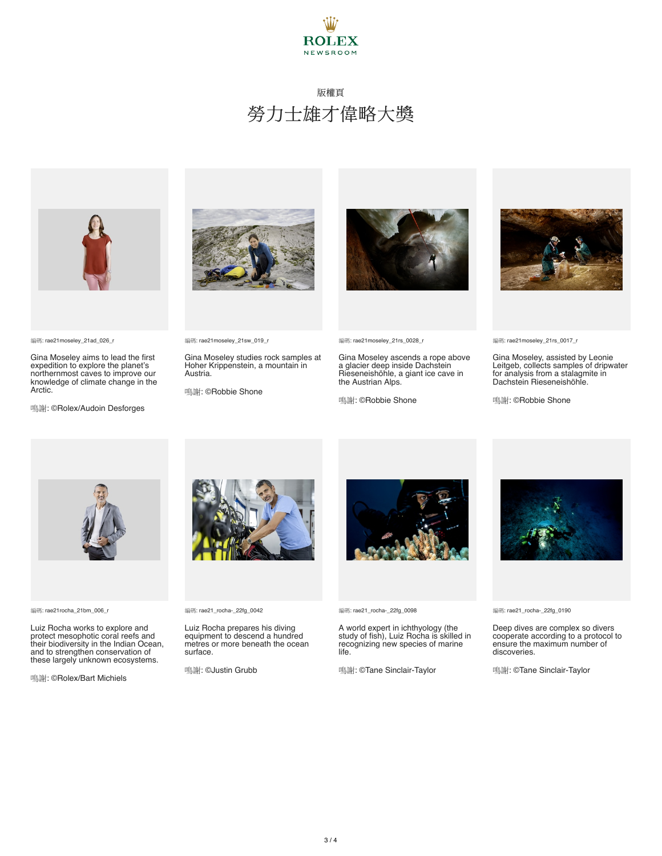



編碼: rae21moseley\_21ad\_026\_r

Gina Moseley aims to lead the first expedition to explore the planet's northernmost caves to improve our knowledge of climate change in the Arctic.

鳴謝: ©Rolex/Audoin Desforges



編碼: rae21moseley\_21sw\_019\_r

Gina Moseley studies rock samples at Hoher Krippenstein, a mountain in Austria.

鳴謝: ©Robbie Shone



編碼: rae21moseley\_21rs\_0028\_r

Gina Moseley ascends a rope above a glacier deep inside Dachstein Rieseneishöhle, a giant ice cave in the Austrian Alps.

鳴謝: ©Robbie Shone



編碼: rae21moseley\_21rs\_0017\_r

Gina Moseley, assisted by Leonie Leitgeb, collects samples of dripwater for analysis from a stalagmite in Dachstein Rieseneishöhle.

鳴謝: ©Robbie Shone



編碼: rae21rocha\_21bm\_006\_r

Luiz Rocha works to explore and protect mesophotic coral reefs and their biodiversity in the Indian Ocean, and to strengthen conservation of these largely unknown ecosystems.

鳴謝: ©Rolex/Bart Michiels



編碼: rae21\_rocha-\_22fg\_0042

Luiz Rocha prepares his diving equipment to descend a hundred metres or more beneath the ocean surface.

鳴謝: ©Justin Grubb



編碼: rae21\_rocha-\_22fg\_0098

A world expert in ichthyology (the study of fish), Luiz Rocha is skilled in recognizing new species of marine life.

鳴謝: ©Tane Sinclair-Taylor



編碼: rae21\_rocha-\_22fg\_0190

Deep dives are complex so divers cooperate according to a protocol to ensure the maximum number of discoveries.

鳴謝: ©Tane Sinclair-Taylor